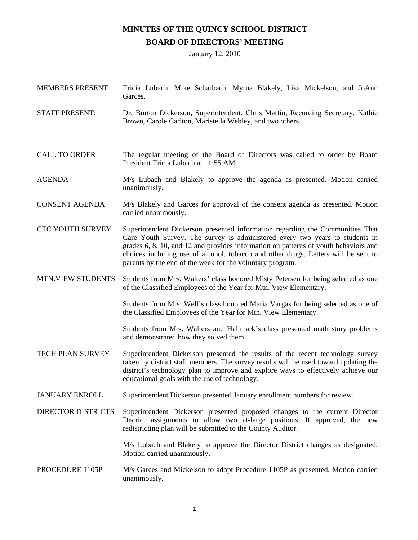## **MINUTES OF THE QUINCY SCHOOL DISTRICT BOARD OF DIRECTORS' MEETING**

January 12, 2010

| <b>MEMBERS PRESENT</b>    | Tricia Lubach, Mike Scharbach, Myrna Blakely, Lisa Mickelson, and JoAnn<br>Garces.                                                                                                                                                                                                                                                                                                                      |
|---------------------------|---------------------------------------------------------------------------------------------------------------------------------------------------------------------------------------------------------------------------------------------------------------------------------------------------------------------------------------------------------------------------------------------------------|
| <b>STAFF PRESENT:</b>     | Dr. Burton Dickerson, Superintendent. Chris Martin, Recording Secretary. Kathie<br>Brown, Carole Carlton, Maristella Webley, and two others.                                                                                                                                                                                                                                                            |
| <b>CALL TO ORDER</b>      | The regular meeting of the Board of Directors was called to order by Board<br>President Tricia Lubach at 11:55 AM.                                                                                                                                                                                                                                                                                      |
| <b>AGENDA</b>             | M/s Lubach and Blakely to approve the agenda as presented. Motion carried<br>unanimously.                                                                                                                                                                                                                                                                                                               |
| <b>CONSENT AGENDA</b>     | M/s Blakely and Garces for approval of the consent agenda as presented. Motion<br>carried unanimously.                                                                                                                                                                                                                                                                                                  |
| <b>CTC YOUTH SURVEY</b>   | Superintendent Dickerson presented information regarding the Communities That<br>Care Youth Survey. The survey is administered every two years to students in<br>grades 6, 8, 10, and 12 and provides information on patterns of youth behaviors and<br>choices including use of alcohol, tobacco and other drugs. Letters will be sent to<br>parents by the end of the week for the voluntary program. |
| <b>MTN.VIEW STUDENTS</b>  | Students from Mrs. Walters' class honored Misty Petersen for being selected as one<br>of the Classified Employees of the Year for Mtn. View Elementary.                                                                                                                                                                                                                                                 |
|                           | Students from Mrs. Well's class honored Maria Vargas for being selected as one of<br>the Classified Employees of the Year for Mtn. View Elementary.                                                                                                                                                                                                                                                     |
|                           | Students from Mrs. Walters and Hallmark's class presented math story problems<br>and demonstrated how they solved them.                                                                                                                                                                                                                                                                                 |
| <b>TECH PLAN SURVEY</b>   | Superintendent Dickerson presented the results of the recent technology survey<br>taken by district staff members. The survey results will be used toward updating the<br>district's technology plan to improve and explore ways to effectively achieve our<br>educational goals with the use of technology.                                                                                            |
| <b>JANUARY ENROLL</b>     | Superintendent Dickerson presented January enrollment numbers for review.                                                                                                                                                                                                                                                                                                                               |
| <b>DIRECTOR DISTRICTS</b> | Superintendent Dickerson presented proposed changes to the current Director<br>District assignments to allow two at-large positions. If approved, the new<br>redistricting plan will be submitted to the County Auditor.                                                                                                                                                                                |
|                           | M/s Lubach and Blakely to approve the Director District changes as designated.<br>Motion carried unanimously.                                                                                                                                                                                                                                                                                           |
| PROCEDURE 1105P           | M/s Garces and Mickelson to adopt Procedure 1105P as presented. Motion carried<br>unanimously.                                                                                                                                                                                                                                                                                                          |